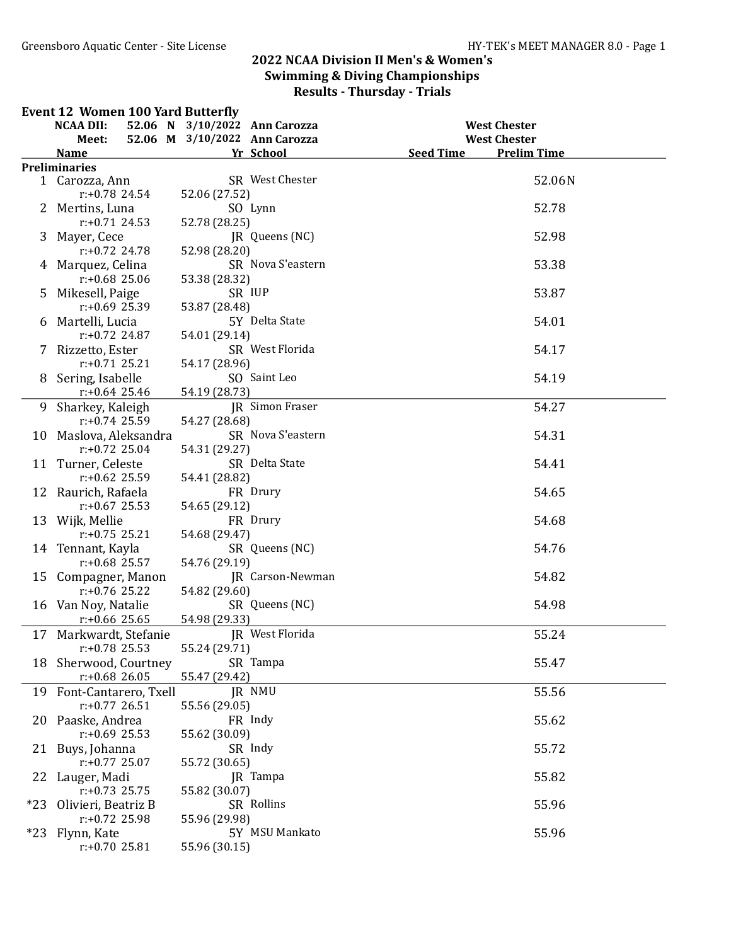#### Event 12 Women 100 Yard Butterfly

|       | <b>NCAA DII:</b>                       | 52.06 N 3/10/2022 Ann Carozza |                   | <b>West Chester</b>                    |
|-------|----------------------------------------|-------------------------------|-------------------|----------------------------------------|
|       | Meet:                                  | 52.06 M 3/10/2022 Ann Carozza |                   | <b>West Chester</b>                    |
|       | <b>Name</b>                            |                               | Yr School         | <b>Seed Time</b><br><b>Prelim Time</b> |
|       | <b>Preliminaries</b>                   |                               |                   |                                        |
|       | 1 Carozza, Ann                         |                               | SR West Chester   | 52.06N                                 |
|       | $r: +0.78$ 24.54                       | 52.06 (27.52)                 |                   |                                        |
|       | 2 Mertins, Luna                        |                               | SO Lynn           | 52.78                                  |
|       | $r: +0.71$ 24.53                       | 52.78 (28.25)                 |                   |                                        |
|       | 3 Mayer, Cece                          |                               | JR Queens (NC)    | 52.98                                  |
|       | $r: +0.72$ 24.78                       | 52.98 (28.20)                 |                   |                                        |
|       | 4 Marquez, Celina                      |                               | SR Nova S'eastern | 53.38                                  |
|       | $r: +0.68$ 25.06                       | 53.38 (28.32)                 |                   |                                        |
| 5.    | Mikesell, Paige                        |                               | SR IUP            | 53.87                                  |
|       | $r: +0.69$ 25.39                       | 53.87 (28.48)                 |                   |                                        |
|       | 6 Martelli, Lucia                      |                               | 5Y Delta State    | 54.01                                  |
|       | $r: +0.72$ 24.87                       | 54.01 (29.14)                 |                   |                                        |
|       | 7 Rizzetto, Ester                      |                               | SR West Florida   | 54.17                                  |
|       | $r: +0.71$ 25.21                       | 54.17 (28.96)                 |                   |                                        |
|       | 8 Sering, Isabelle                     |                               | SO Saint Leo      | 54.19                                  |
|       | $r: +0.64$ 25.46                       | 54.19 (28.73)                 |                   |                                        |
|       |                                        |                               |                   |                                        |
|       | 9 Sharkey, Kaleigh<br>$r: +0.74$ 25.59 |                               | JR Simon Fraser   | 54.27                                  |
|       |                                        | 54.27 (28.68)                 | SR Nova S'eastern |                                        |
|       | 10 Maslova, Aleksandra                 |                               |                   | 54.31                                  |
|       | $r: +0.72$ 25.04                       | 54.31 (29.27)                 |                   |                                        |
|       | 11 Turner, Celeste                     |                               | SR Delta State    | 54.41                                  |
|       | $r: +0.62$ 25.59                       | 54.41 (28.82)                 |                   |                                        |
|       | 12 Raurich, Rafaela                    |                               | FR Drury          | 54.65                                  |
|       | $r: +0.67$ 25.53                       | 54.65 (29.12)                 |                   |                                        |
|       | 13 Wijk, Mellie                        |                               | FR Drury          | 54.68                                  |
|       | $r: +0.75$ 25.21                       | 54.68 (29.47)                 |                   |                                        |
|       | 14 Tennant, Kayla                      |                               | SR Queens (NC)    | 54.76                                  |
|       | $r: +0.68$ 25.57                       | 54.76 (29.19)                 |                   |                                        |
|       | 15 Compagner, Manon                    |                               | JR Carson-Newman  | 54.82                                  |
|       | $r: +0.76$ 25.22                       | 54.82 (29.60)                 |                   |                                        |
|       | 16 Van Noy, Natalie                    |                               | SR Queens (NC)    | 54.98                                  |
|       | $r: +0.66$ 25.65                       | 54.98 (29.33)                 |                   |                                        |
| 17    | Markwardt, Stefanie                    |                               | JR West Florida   | 55.24                                  |
|       | $r: +0.78$ 25.53                       | 55.24 (29.71)                 |                   |                                        |
|       | 18 Sherwood, Courtney                  |                               | SR Tampa          | 55.47                                  |
|       | $r: +0.68$ 26.05                       | 55.47 (29.42)                 |                   |                                        |
|       | 19 Font-Cantarero, Txell               |                               | JR NMU            | 55.56                                  |
|       | $r: +0.77$ 26.51                       | 55.56 (29.05)                 |                   |                                        |
|       | 20 Paaske, Andrea                      |                               | FR Indy           | 55.62                                  |
|       | $r: +0.69$ 25.53                       | 55.62 (30.09)                 |                   |                                        |
|       | 21 Buys, Johanna                       |                               | SR Indy           | 55.72                                  |
|       | $r: +0.77$ 25.07                       | 55.72 (30.65)                 |                   |                                        |
| 22    | Lauger, Madi                           |                               | JR Tampa          | 55.82                                  |
|       | $r: +0.73$ 25.75                       | 55.82 (30.07)                 |                   |                                        |
| $*23$ | Olivieri, Beatriz B                    |                               | SR Rollins        | 55.96                                  |
|       | r:+0.72 25.98                          | 55.96 (29.98)                 |                   |                                        |
| $*23$ | Flynn, Kate                            |                               | 5Y MSU Mankato    | 55.96                                  |
|       | $r: +0.70$ 25.81                       | 55.96 (30.15)                 |                   |                                        |
|       |                                        |                               |                   |                                        |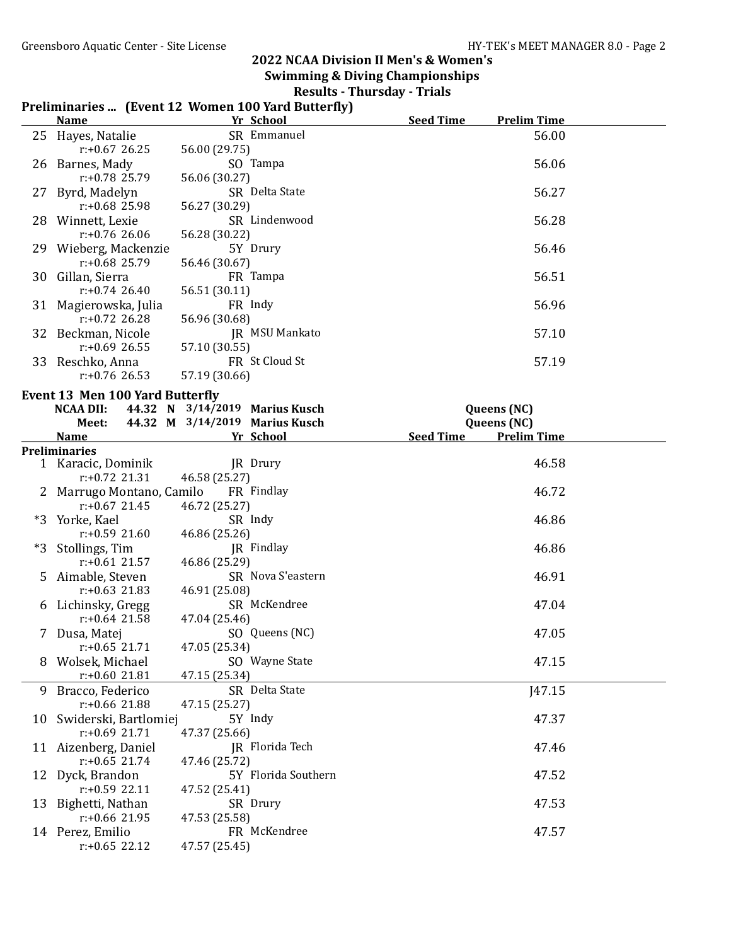# 2022 NCAA Division II Men's & Women's

Swimming & Diving Championships Results - Thursday - Trials

|    |                    | $\kappa$ suns - Thursuay - Triais                  |                  |                    |  |
|----|--------------------|----------------------------------------------------|------------------|--------------------|--|
|    |                    | Preliminaries  (Event 12 Women 100 Yard Butterfly) |                  |                    |  |
|    | <b>Name</b>        | Yr School                                          | <b>Seed Time</b> | <b>Prelim Time</b> |  |
|    | 25 Hayes, Natalie  | SR Emmanuel                                        |                  | 56.00              |  |
|    | $r: +0.67$ 26.25   | 56.00 (29.75)                                      |                  |                    |  |
|    | 26 Barnes, Mady    | SO Tampa                                           |                  | 56.06              |  |
|    | $r: +0.78$ 25.79   | 56.06 (30.27)                                      |                  |                    |  |
|    | 27 Byrd, Madelyn   | SR Delta State                                     |                  | 56.27              |  |
|    | $r: +0.68$ 25.98   | 56.27 (30.29)                                      |                  |                    |  |
| 28 | Winnett, Lexie     | SR Lindenwood                                      |                  | 56.28              |  |
|    | $r: +0.76$ 26.06   | 56.28 (30.22)                                      |                  |                    |  |
| 29 | Wieberg, Mackenzie | 5Y Drury                                           |                  | 56.46              |  |
|    | $r: +0.68$ 25.79   | 56.46 (30.67)                                      |                  |                    |  |
| 30 | Gillan, Sierra     | FR Tampa                                           |                  | 56.51              |  |
|    | $r: +0.74$ 26.40   | 56.51 (30.11)                                      |                  |                    |  |

31 Magierowska, Julia FR Indy 56.96

32 Beckman, Nicole JR MSU Mankato 57.10<br>  $r: +0.69 \t26.55$  57.10 (30.55)

33 Reschko, Anna FR St Cloud St 57.19<br>
57.19 = 57.19 (30.66) 57.19 (30.66)

56.51 (30.11)

57.19 (30.66)

57.10 (30.55)<br>FR St Cloud St

r:+0.72 26.28 56.96 (30.68)

|    | <b>Event 13 Men 100 Yard Butterfly</b> |                                |                     |                    |
|----|----------------------------------------|--------------------------------|---------------------|--------------------|
|    | <b>NCAA DII:</b>                       | 44.32 N 3/14/2019 Marius Kusch |                     | Queens (NC)        |
|    | Meet:                                  | 44.32 M 3/14/2019 Marius Kusch |                     | Queens (NC)        |
|    | <b>Name</b>                            | Yr School                      | <b>Seed Time</b>    | <b>Prelim Time</b> |
|    | <b>Preliminaries</b>                   |                                |                     |                    |
|    | 1 Karacic, Dominik                     | <b>IR</b> Drury                |                     | 46.58              |
|    | $r: +0.72$ 21.31                       | 46.58 (25.27)                  |                     |                    |
|    | Marrugo Montano, Camilo FR Findlay     |                                |                     | 46.72              |
|    | $r: +0.67$ 21.45                       | 46.72 (25.27)                  |                     |                    |
| *3 | Yorke, Kael                            | SR Indy                        |                     | 46.86              |
|    | $r: +0.59$ 21.60                       | 46.86 (25.26)                  |                     |                    |
| *3 | Stollings, Tim                         | <b>IR</b> Findlay              |                     | 46.86              |
|    | $r: +0.61$ 21.57                       | 46.86 (25.29)                  |                     |                    |
|    | 5 Aimable, Steven                      |                                | SR Nova S'eastern   | 46.91              |
|    | $r: +0.63$ 21.83                       | 46.91 (25.08)                  |                     |                    |
| 6  | Lichinsky, Gregg                       | SR McKendree                   |                     | 47.04              |
|    | $r: +0.64$ 21.58                       | 47.04 (25.46)                  |                     |                    |
|    | 7 Dusa, Matej                          | SO Queens (NC)                 |                     | 47.05              |
|    | $r: +0.65$ 21.71                       | 47.05 (25.34)                  |                     |                    |
| 8  | Wolsek, Michael                        | SO Wayne State                 |                     | 47.15              |
|    | $r: +0.60$ 21.81                       | 47.15 (25.34)                  |                     |                    |
| 9  | Bracco, Federico                       | SR Delta State                 |                     | <b>J47.15</b>      |
|    | $r: +0.66$ 21.88                       | 47.15 (25.27)                  |                     |                    |
|    | 10 Swiderski, Bartlomiej               | 5Y Indy                        |                     | 47.37              |
|    | $r: +0.69$ 21.71                       | 47.37 (25.66)                  |                     |                    |
|    | 11 Aizenberg, Daniel                   | JR Florida Tech                |                     | 47.46              |
|    | $r: +0.65$ 21.74                       | 47.46 (25.72)                  |                     |                    |
|    | 12 Dyck, Brandon                       |                                | 5Y Florida Southern | 47.52              |
|    | $r: +0.59$ 22.11                       | 47.52 (25.41)                  |                     |                    |
|    | 13 Bighetti, Nathan                    | SR Drury                       |                     | 47.53              |
|    | $r: +0.66$ 21.95                       | 47.53 (25.58)                  |                     |                    |
|    | 14 Perez, Emilio                       | FR McKendree                   |                     | 47.57              |
|    | $r: +0.65$ 22.12                       | 47.57 (25.45)                  |                     |                    |
|    |                                        |                                |                     |                    |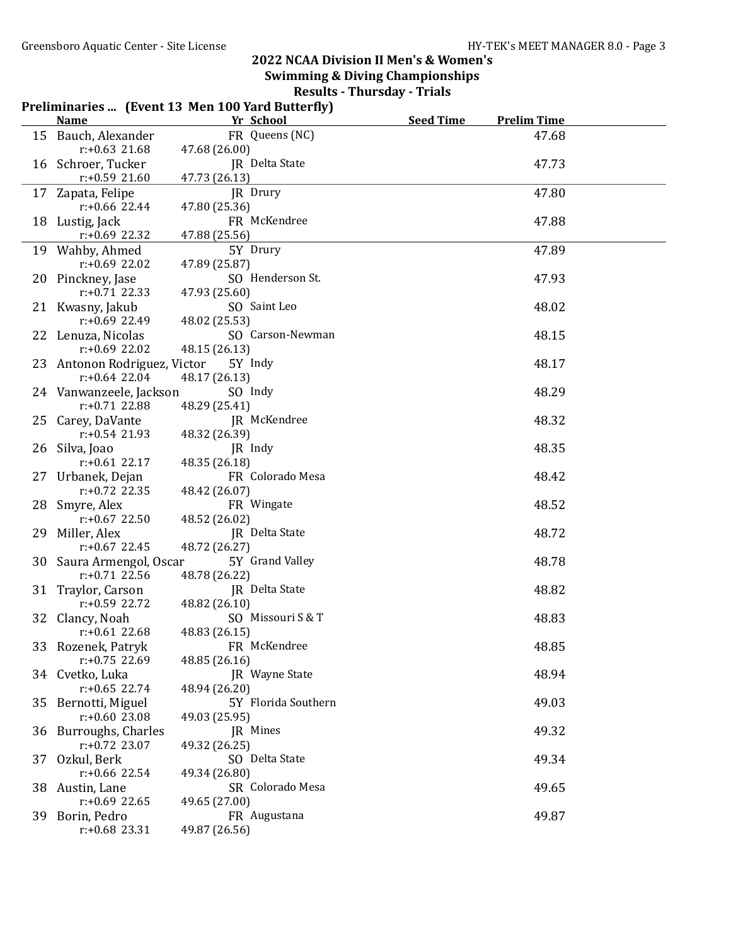|     |                                         | Preliminaries  (Event 13 Men 100 Yard Butterfly) |                  |                    |  |
|-----|-----------------------------------------|--------------------------------------------------|------------------|--------------------|--|
|     | <b>Name</b>                             | Yr School                                        | <b>Seed Time</b> | <b>Prelim Time</b> |  |
|     | 15 Bauch, Alexander<br>$r: +0.63$ 21.68 | FR Queens (NC)<br>47.68 (26.00)                  |                  | 47.68              |  |
|     | 16 Schroer, Tucker                      | JR Delta State                                   |                  | 47.73              |  |
|     | $r: +0.59$ 21.60                        | 47.73 (26.13)                                    |                  |                    |  |
|     | 17 Zapata, Felipe                       | JR Drury                                         |                  | 47.80              |  |
|     | r:+0.66 22.44                           | 47.80 (25.36)                                    |                  |                    |  |
|     | 18 Lustig, Jack                         | FR McKendree                                     |                  | 47.88              |  |
|     | $r: +0.69$ 22.32                        | 47.88 (25.56)                                    |                  |                    |  |
|     | 19 Wahby, Ahmed                         | 5Y Drury                                         |                  | 47.89              |  |
|     | $r: +0.69$ 22.02                        | 47.89 (25.87)                                    |                  |                    |  |
|     | 20 Pinckney, Jase                       | SO Henderson St.                                 |                  | 47.93              |  |
|     | $r: +0.71$ 22.33                        | 47.93 (25.60)                                    |                  |                    |  |
|     | 21 Kwasny, Jakub                        | SO Saint Leo                                     |                  | 48.02              |  |
|     | $r: +0.69$ 22.49                        | 48.02 (25.53)                                    |                  |                    |  |
|     | 22 Lenuza, Nicolas                      | SO Carson-Newman                                 |                  | 48.15              |  |
|     | $r: +0.69$ 22.02                        | 48.15 (26.13)                                    |                  |                    |  |
|     | 23 Antonon Rodriguez, Victor            | 5Y Indy                                          |                  | 48.17              |  |
|     | $r: +0.64$ 22.04                        | 48.17 (26.13)                                    |                  |                    |  |
|     | 24 Vanwanzeele, Jackson                 | SO Indy                                          |                  | 48.29              |  |
|     | $r: +0.71$ 22.88                        | 48.29 (25.41)                                    |                  |                    |  |
|     | 25 Carey, DaVante                       | JR McKendree                                     |                  | 48.32              |  |
|     | $r: +0.54$ 21.93                        | 48.32 (26.39)                                    |                  |                    |  |
|     | 26 Silva, Joao                          | JR Indy                                          |                  | 48.35              |  |
|     | $r: +0.61$ 22.17                        | 48.35 (26.18)                                    |                  |                    |  |
|     | 27 Urbanek, Dejan                       | FR Colorado Mesa                                 |                  | 48.42              |  |
|     | $r: +0.72$ 22.35                        | 48.42 (26.07)                                    |                  |                    |  |
|     | 28 Smyre, Alex                          | FR Wingate                                       |                  | 48.52              |  |
|     | $r: +0.67$ 22.50                        | 48.52 (26.02)                                    |                  |                    |  |
|     | 29 Miller, Alex                         | <b>JR</b> Delta State                            |                  | 48.72              |  |
|     | $r: +0.67$ 22.45                        | 48.72 (26.27)                                    |                  |                    |  |
|     | 30 Saura Armengol, Oscar                | 5Y Grand Valley                                  |                  | 48.78              |  |
|     | $r: +0.71$ 22.56                        | 48.78 (26.22)                                    |                  |                    |  |
|     | 31 Traylor, Carson                      | JR Delta State                                   |                  | 48.82              |  |
|     | $r: +0.59$ 22.72                        | 48.82 (26.10)                                    |                  |                    |  |
|     | 32 Clancy, Noah                         | SO Missouri S & T                                |                  | 48.83              |  |
|     | $r: +0.61$ 22.68                        | 48.83 (26.15)<br>FR McKendree                    |                  |                    |  |
|     | 33 Rozenek, Patryk<br>$r: +0.75$ 22.69  | 48.85 (26.16)                                    |                  | 48.85              |  |
|     | 34 Cvetko, Luka                         | <b>IR</b> Wayne State                            |                  | 48.94              |  |
|     | $r: +0.65$ 22.74                        | 48.94 (26.20)                                    |                  |                    |  |
|     | 35 Bernotti, Miguel                     | 5Y Florida Southern                              |                  | 49.03              |  |
|     | $r: +0.60$ 23.08                        | 49.03 (25.95)                                    |                  |                    |  |
|     | 36 Burroughs, Charles                   | JR Mines                                         |                  | 49.32              |  |
|     | $r: +0.72$ 23.07                        | 49.32 (26.25)                                    |                  |                    |  |
| 37. | Ozkul, Berk                             | SO Delta State                                   |                  | 49.34              |  |
|     | $r: +0.66$ 22.54                        | 49.34 (26.80)                                    |                  |                    |  |
| 38. | Austin, Lane                            | SR Colorado Mesa                                 |                  | 49.65              |  |
|     | $r: +0.69$ 22.65                        | 49.65 (27.00)                                    |                  |                    |  |
|     | 39 Borin, Pedro                         | FR Augustana                                     |                  | 49.87              |  |
|     | $r: +0.68$ 23.31                        | 49.87 (26.56)                                    |                  |                    |  |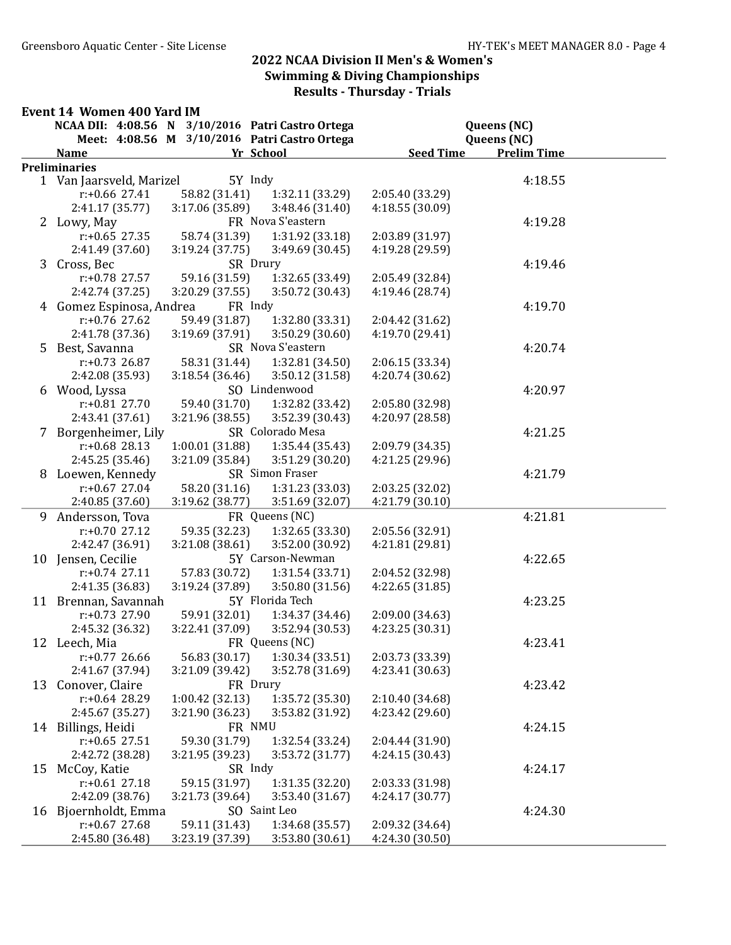#### Event 14 Women 400 Yard IM NCAA DII: 4:08.56 N 3/10/2016 Patri Castro Ortega Queens (NC) Meet: 4:08.56 M 3/10/2016 Patri Castro Ortega (NC) Name **Seed Time** Prelim Time **Yr School** Seed Time Prelim Time **Preliminaries** 1 Van Jaarsveld, Marizel 5Y Indy 58 1990 120 120 120 120 121 13.55 r:+0.66 27.41 58.82 (31.41) 1:32.11 (33.29) 2:05.40 (33.29) 2:41.17 (35.77) 3:17.06 (35.89) 3:48.46 (31.40) 4:18.55 (30.09) 2 Lowy, May **FR Nova S'eastern** 4:19.28 r:+0.65 27.35 58.74 (31.39) 1:31.92 (33.18) 2:03.89 (31.97) 2:41.49 (37.60) 3:19.24 (37.75) 3:49.69 (30.45) 4:19.28 (29.59) 3 Cross, Bec SR Drury 3 Cross, 88 r:+0.78 27.57 59.16 (31.59) 1:32.65 (33.49) 2:05.49 (32.84) 2:42.74 (37.25) 3:20.29 (37.55) 3:50.72 (30.43) 4:19.46 (28.74) 4 Gomez Espinosa, Andrea FR Indy 4:19.70 r:+0.76 27.62 59.49 (31.87) 1:32.80 (33.31) 2:04.42 (31.62) 2:41.78 (37.36) 3:19.69 (37.91) 3:50.29 (30.60) 4:19.70 (29.41) 5 Best, Savanna SR Nova S'eastern 4:20.74 r:+0.73 26.87 58.31 (31.44) 1:32.81 (34.50) 2:06.15 (33.34) 2:42.08 (35.93) 3:18.54 (36.46) 3:50.12 (31.58) 4:20.74 (30.62) 6 Wood, Lyssa SO Lindenwood 4:20.97 r:+0.81 27.70 59.40 (31.70) 1:32.82 (33.42) 2:05.80 (32.98) 2:43.41 (37.61) 3:21.96 (38.55) 3:52.39 (30.43) 4:20.97 (28.58) 7 Borgenheimer, Lily SR Colorado Mesa 4:21.25 r:+0.68 28.13 1:00.01 (31.88) 1:35.44 (35.43) 2:09.79 (34.35) 2:45.25 (35.46) 3:21.09 (35.84) 3:51.29 (30.20) 4:21.25 (29.96) 8 Loewen, Kennedy SR Simon Fraser 4:21.79 r:+0.67 27.04 58.20 (31.16) 1:31.23 (33.03) 2:03.25 (32.02) 2:40.85 (37.60) 3:19.62 (38.77) 3:51.69 (32.07) 4:21.79 (30.10) 9 Andersson, Tova FR Queens (NC) 4:21.81 r:+0.70 27.12 59.35 (32.23) 1:32.65 (33.30) 2:05.56 (32.91) 2:42.47 (36.91) 3:21.08 (38.61) 3:52.00 (30.92) 4:21.81 (29.81) 10 Jensen, Cecilie 5Y Carson-Newman 4:22.65 r:+0.74 27.11 57.83 (30.72) 1:31.54 (33.71) 2:04.52 (32.98) 2:41.35 (36.83) 3:19.24 (37.89) 3:50.80 (31.56) 4:22.65 (31.85) 11 Brennan, Savannah 5Y Florida Tech 4:23.25 r:+0.73 27.90 59.91 (32.01) 1:34.37 (34.46) 2:09.00 (34.63) 2:45.32 (36.32) 3:22.41 (37.09) 3:52.94 (30.53) 4:23.25 (30.31) 12 Leech, Mia 61 – FR Queens (NC) 61 – 623.41 r:+0.77 26.66 56.83 (30.17) 1:30.34 (33.51) 2:03.73 (33.39) 2:41.67 (37.94) 3:21.09 (39.42) 3:52.78 (31.69) 4:23.41 (30.63) 13 Conover, Claire FR Drury FR Drury 4:23.42 r:+0.64 28.29 1:00.42 (32.13) 1:35.72 (35.30) 2:10.40 (34.68) 2:45.67 (35.27) 3:21.90 (36.23) 3:53.82 (31.92) 4:23.42 (29.60) 14 Billings, Heidi FR NMU<br>r:+0.65 27.51 59.30 (31.79) 1:32.54 (33.24) 2:04.44 (31.90) 4:24.15  $r: +0.65$  27.51 59.30 (31.79) 1:32.54 (33.24) 2:42.72 (38.28) 3:21.95 (39.23) 3:53.72 (31.77) 4:24.15 (30.43) 15 McCoy, Katie SR Indy 4:24.17 r:+0.61 27.18 59.15 (31.97) 1:31.35 (32.20) 2:03.33 (31.98) 2:42.09 (38.76) 3:21.73 (39.64) 3:53.40 (31.67) 4:24.17 (30.77) 16 Bjoernholdt, Emma SO Saint Leo 4:24.30 r:+0.67 27.68 59.11 (31.43) 1:34.68 (35.57) 2:09.32 (34.64) 2:45.80 (36.48) 3:23.19 (37.39) 3:53.80 (30.61) 4:24.30 (30.50)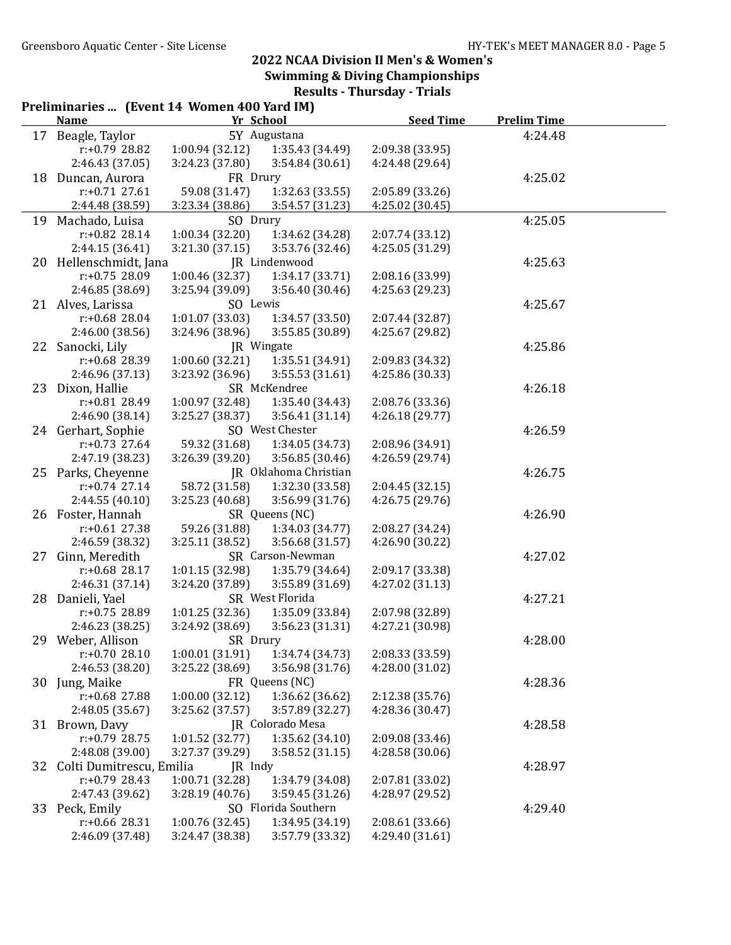|    | Preliminaries  (Event 14 Women 400 Yard IM)<br><b>Name</b> | Yr School                  |                       | <b>Seed Time</b> | <b>Prelim Time</b> |  |
|----|------------------------------------------------------------|----------------------------|-----------------------|------------------|--------------------|--|
|    | 17 Beagle, Taylor                                          |                            | 5Y Augustana          |                  | 4:24.48            |  |
|    | r:+0.79 28.82                                              | 1:00.94(32.12)             | 1:35.43 (34.49)       | 2:09.38 (33.95)  |                    |  |
|    | 2:46.43 (37.05)                                            | 3:24.23 (37.80)            | 3:54.84 (30.61)       | 4:24.48 (29.64)  |                    |  |
|    | 18 Duncan, Aurora                                          | FR Drury                   |                       |                  | 4:25.02            |  |
|    | $r: +0.71$ 27.61                                           | 59.08 (31.47)              | 1:32.63 (33.55)       | 2:05.89 (33.26)  |                    |  |
|    | 2:44.48 (38.59)                                            | 3:23.34 (38.86)            | 3:54.57 (31.23)       | 4:25.02 (30.45)  |                    |  |
|    | 19 Machado, Luisa                                          | SO Drury                   |                       |                  | 4:25.05            |  |
|    | $r: +0.82$ 28.14                                           | 1:00.34 (32.20)            | 1:34.62 (34.28)       | 2:07.74(33.12)   |                    |  |
|    | 2:44.15 (36.41)                                            | 3:21.30(37.15)             | 3:53.76 (32.46)       | 4:25.05 (31.29)  |                    |  |
|    | 20 Hellenschmidt, Jana                                     |                            | JR Lindenwood         |                  | 4:25.63            |  |
|    | r:+0.75 28.09                                              | 1:00.46 (32.37)            | 1:34.17 (33.71)       | 2:08.16 (33.99)  |                    |  |
|    | 2:46.85 (38.69)                                            | 3:25.94 (39.09)            | 3:56.40 (30.46)       | 4:25.63 (29.23)  |                    |  |
|    | 21 Alves, Larissa                                          | SO Lewis                   |                       |                  | 4:25.67            |  |
|    | r:+0.68 28.04                                              | 1:01.07(33.03)             | 1:34.57 (33.50)       | 2:07.44 (32.87)  |                    |  |
|    | 2:46.00 (38.56)                                            | 3:24.96 (38.96)            | 3:55.85 (30.89)       | 4:25.67 (29.82)  |                    |  |
| 22 | Sanocki, Lily                                              |                            | JR Wingate            |                  | 4:25.86            |  |
|    | r:+0.68 28.39                                              | 1:00.60(32.21)             | 1:35.51 (34.91)       | 2:09.83 (34.32)  |                    |  |
|    | 2:46.96 (37.13)                                            | 3:23.92 (36.96)            | 3:55.53(31.61)        | 4:25.86 (30.33)  |                    |  |
|    | 23 Dixon, Hallie                                           |                            | SR McKendree          |                  | 4:26.18            |  |
|    | r:+0.81 28.49                                              | 1:00.97 (32.48)            | 1:35.40 (34.43)       | 2:08.76 (33.36)  |                    |  |
|    | 2:46.90 (38.14)                                            | 3:25.27(38.37)             | 3:56.41(31.14)        | 4:26.18 (29.77)  |                    |  |
|    | 24 Gerhart, Sophie                                         |                            | SO West Chester       |                  | 4:26.59            |  |
|    | $r: +0.73$ 27.64                                           | 59.32 (31.68)              | 1:34.05 (34.73)       | 2:08.96 (34.91)  |                    |  |
|    | 2:47.19 (38.23)                                            | 3:26.39 (39.20)            | 3:56.85(30.46)        | 4:26.59 (29.74)  |                    |  |
|    | 25 Parks, Cheyenne                                         |                            | JR Oklahoma Christian |                  | 4:26.75            |  |
|    | $r: +0.74$ 27.14                                           | 58.72 (31.58)              | 1:32.30 (33.58)       | 2:04.45(32.15)   |                    |  |
|    | 2:44.55(40.10)                                             | 3:25.23 (40.68)            | 3:56.99 (31.76)       | 4:26.75 (29.76)  |                    |  |
|    | 26 Foster, Hannah                                          |                            | SR Queens (NC)        |                  | 4:26.90            |  |
|    | $r: +0.61$ 27.38                                           | 59.26 (31.88)              | 1:34.03 (34.77)       | 2:08.27 (34.24)  |                    |  |
|    | 2:46.59 (38.32)                                            | 3:25.11 (38.52)            | 3:56.68 (31.57)       | 4:26.90 (30.22)  |                    |  |
| 27 | Ginn, Meredith                                             |                            | SR Carson-Newman      |                  | 4:27.02            |  |
|    | $r: +0.68$ 28.17                                           | 1:01.15 (32.98)            | 1:35.79 (34.64)       | 2:09.17 (33.38)  |                    |  |
|    | 2:46.31 (37.14)                                            | 3:24.20 (37.89)            | 3:55.89 (31.69)       | 4:27.02 (31.13)  |                    |  |
|    | 28 Danieli, Yael                                           |                            | SR West Florida       |                  | 4:27.21            |  |
|    | r:+0.75 28.89                                              | 1:01.25(32.36)             | 1:35.09 (33.84)       | 2:07.98 (32.89)  |                    |  |
|    | 2:46.23 (38.25)                                            | 3:24.92 (38.69)            | 3:56.23 (31.31)       | 4:27.21 (30.98)  |                    |  |
|    | 29 Weber, Allison                                          | SR Drury                   |                       |                  | 4:28.00            |  |
|    | $r: +0.7028.10$                                            | 1:00.01(31.91)             | 1:34.74 (34.73)       | 2:08.33 (33.59)  |                    |  |
|    | 2:46.53 (38.20)                                            | 3:25.22 (38.69)            | 3:56.98 (31.76)       | 4:28.00 (31.02)  |                    |  |
| 30 | Jung, Maike                                                |                            | FR Queens (NC)        |                  | 4:28.36            |  |
|    | r:+0.68 27.88                                              | 1:00.00(32.12)             | 1:36.62 (36.62)       | 2:12.38 (35.76)  |                    |  |
|    | 2:48.05 (35.67)                                            | 3:25.62 (37.57)            | 3:57.89 (32.27)       | 4:28.36 (30.47)  |                    |  |
|    | 31 Brown, Davy                                             |                            | JR Colorado Mesa      |                  | 4:28.58            |  |
|    | r:+0.79 28.75                                              | 1:01.52 (32.77)            | 1:35.62(34.10)        | 2:09.08 (33.46)  |                    |  |
|    |                                                            |                            |                       |                  |                    |  |
| 32 | 2:48.08 (39.00)<br>Colti Dumitrescu, Emilia                | 3:27.37 (39.29)<br>JR Indy | 3:58.52(31.15)        | 4:28.58 (30.06)  | 4:28.97            |  |
|    | $r: +0.79$ 28.43                                           |                            |                       |                  |                    |  |
|    |                                                            | 1:00.71 (32.28)            | 1:34.79 (34.08)       | 2:07.81 (33.02)  |                    |  |
|    | 2:47.43 (39.62)                                            | 3:28.19 (40.76)            | 3:59.45(31.26)        | 4:28.97 (29.52)  |                    |  |
|    | 33 Peck, Emily                                             |                            | SO Florida Southern   |                  | 4:29.40            |  |
|    | $r: +0.66$ 28.31                                           | 1:00.76(32.45)             | 1:34.95 (34.19)       | 2:08.61(33.66)   |                    |  |
|    | 2:46.09 (37.48)                                            | 3:24.47 (38.38)            | 3:57.79 (33.32)       | 4:29.40 (31.61)  |                    |  |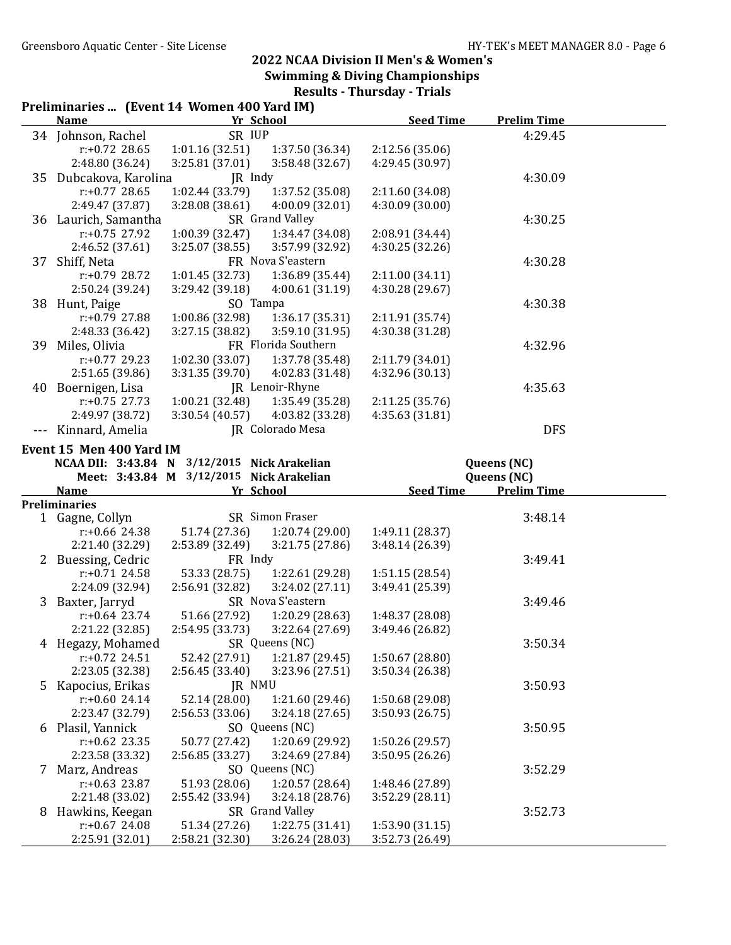| <b>Seed Time</b><br><b>Prelim Time</b><br><b>Name</b><br>Yr School<br>34 Johnson, Rachel<br>SR IUP<br>4:29.45<br>1:01.16(32.51)<br>$r: +0.72$ 28.65<br>1:37.50 (36.34)<br>2:12.56 (35.06)<br>2:48.80 (36.24)<br>3:25.81 (37.01)<br>4:29.45 (30.97)<br>3:58.48 (32.67) |  |
|-----------------------------------------------------------------------------------------------------------------------------------------------------------------------------------------------------------------------------------------------------------------------|--|
|                                                                                                                                                                                                                                                                       |  |
|                                                                                                                                                                                                                                                                       |  |
|                                                                                                                                                                                                                                                                       |  |
|                                                                                                                                                                                                                                                                       |  |
| JR Indy<br>35 Dubcakova, Karolina<br>4:30.09                                                                                                                                                                                                                          |  |
| 1:02.44(33.79)<br>1:37.52 (35.08)<br>$r: +0.77$ 28.65<br>2:11.60 (34.08)                                                                                                                                                                                              |  |
| 2:49.47 (37.87)<br>4:00.09 (32.01)<br>4:30.09 (30.00)<br>3:28.08 (38.61)                                                                                                                                                                                              |  |
| 36 Laurich, Samantha<br>SR Grand Valley<br>4:30.25                                                                                                                                                                                                                    |  |
| $r: +0.75$ 27.92<br>1:00.39 (32.47)<br>1:34.47 (34.08)<br>2:08.91 (34.44)                                                                                                                                                                                             |  |
| 4:30.25 (32.26)<br>2:46.52 (37.61)<br>3:25.07 (38.55)<br>3:57.99 (32.92)                                                                                                                                                                                              |  |
| FR Nova S'eastern<br>Shiff, Neta<br>4:30.28<br>37                                                                                                                                                                                                                     |  |
| $r: +0.79$ 28.72<br>1:01.45 (32.73)<br>1:36.89 (35.44)<br>2:11.00(34.11)                                                                                                                                                                                              |  |
| 3:29.42 (39.18)<br>4:30.28 (29.67)<br>2:50.24 (39.24)<br>4:00.61(31.19)                                                                                                                                                                                               |  |
| SO Tampa<br>38 Hunt, Paige<br>4:30.38                                                                                                                                                                                                                                 |  |
| 1:00.86 (32.98)<br>1:36.17(35.31)<br>r:+0.79 27.88<br>2:11.91 (35.74)                                                                                                                                                                                                 |  |
| 3:27.15(38.82)<br>3:59.10 (31.95)<br>4:30.38 (31.28)<br>2:48.33 (36.42)                                                                                                                                                                                               |  |
| FR Florida Southern<br>39 Miles, Olivia<br>4:32.96                                                                                                                                                                                                                    |  |
| $r: +0.77$ 29.23<br>1:02.30(33.07)<br>1:37.78 (35.48)<br>2:11.79 (34.01)                                                                                                                                                                                              |  |
| 2:51.65 (39.86)<br>3:31.35 (39.70)<br>4:02.83 (31.48)<br>4:32.96 (30.13)                                                                                                                                                                                              |  |
| JR Lenoir-Rhyne<br>40 Boernigen, Lisa<br>4:35.63                                                                                                                                                                                                                      |  |
| $r: +0.75$ 27.73<br>1:00.21 (32.48)<br>1:35.49 (35.28)                                                                                                                                                                                                                |  |
| 2:11.25 (35.76)                                                                                                                                                                                                                                                       |  |
| 2:49.97 (38.72)<br>4:35.63 (31.81)<br>3:30.54(40.57)<br>4:03.82 (33.28)                                                                                                                                                                                               |  |
| Kinnard, Amelia<br>JR Colorado Mesa<br><b>DFS</b>                                                                                                                                                                                                                     |  |
| Event 15 Men 400 Yard IM                                                                                                                                                                                                                                              |  |
| NCAA DII: 3:43.84 N 3/12/2015 Nick Arakelian<br>Queens (NC)                                                                                                                                                                                                           |  |
| Meet: 3:43.84 M 3/12/2015 Nick Arakelian<br>Queens (NC)                                                                                                                                                                                                               |  |
| Yr School<br><b>Seed Time</b><br><b>Prelim Time</b><br><b>Name</b>                                                                                                                                                                                                    |  |
| <b>Preliminaries</b>                                                                                                                                                                                                                                                  |  |
| SR Simon Fraser<br>3:48.14<br>1 Gagne, Collyn                                                                                                                                                                                                                         |  |
| $r: +0.66$ 24.38<br>51.74 (27.36)<br>1:20.74 (29.00)<br>1:49.11 (28.37)                                                                                                                                                                                               |  |
| 2:53.89(32.49)<br>2:21.40 (32.29)<br>3:21.75 (27.86)<br>3:48.14 (26.39)                                                                                                                                                                                               |  |
| FR Indy<br>2 Buessing, Cedric<br>3:49.41                                                                                                                                                                                                                              |  |
| $r: +0.71$ 24.58<br>53.33 (28.75)<br>1:22.61 (29.28)<br>1:51.15(28.54)                                                                                                                                                                                                |  |
| 2:24.09 (32.94)<br>2:56.91(32.82)<br>3:24.02(27.11)<br>3:49.41 (25.39)                                                                                                                                                                                                |  |
| SR Nova S'eastern<br>Baxter, Jarryd<br>3:49.46<br>3                                                                                                                                                                                                                   |  |
| $r: +0.64$ 23.74<br>51.66 (27.92)<br>1:20.29(28.63)<br>1:48.37 (28.08)                                                                                                                                                                                                |  |
| 2:21.22 (32.85)<br>2:54.95 (33.73) 3:22.64 (27.69)<br>3:49.46 (26.82)                                                                                                                                                                                                 |  |
| 3:50.34<br>SR Queens (NC)<br>4 Hegazy, Mohamed                                                                                                                                                                                                                        |  |
| $r: +0.72$ 24.51<br>52.42 (27.91)<br>1:21.87 (29.45)<br>1:50.67 (28.80)                                                                                                                                                                                               |  |
| 2:23.05 (32.38)<br>3:50.34 (26.38)<br>2:56.45 (33.40)<br>3:23.96 (27.51)                                                                                                                                                                                              |  |
| $5^{\circ}$<br>Kapocius, Erikas<br>3:50.93<br>JR NMU                                                                                                                                                                                                                  |  |
| 52.14 (28.00)<br>$r: +0.60$ 24.14<br>1:21.60 (29.46)<br>1:50.68 (29.08)                                                                                                                                                                                               |  |
| 2:23.47 (32.79)<br>2:56.53 (33.06)<br>3:24.18 (27.65)<br>3:50.93 (26.75)                                                                                                                                                                                              |  |
| Plasil, Yannick<br>SO Queens (NC)<br>3:50.95<br>6                                                                                                                                                                                                                     |  |
| $r: +0.62$ 23.35<br>50.77 (27.42)<br>1:20.69 (29.92)<br>1:50.26 (29.57)                                                                                                                                                                                               |  |
| 2:56.85 (33.27)<br>3:24.69 (27.84)<br>3:50.95 (26.26)<br>2:23.58 (33.32)                                                                                                                                                                                              |  |
| SO Queens (NC)<br>Marz, Andreas<br>3:52.29<br>7                                                                                                                                                                                                                       |  |
| $r: +0.63$ 23.87<br>51.93 (28.06)<br>1:20.57(28.64)<br>1:48.46 (27.89)                                                                                                                                                                                                |  |
| 3:52.29 (28.11)<br>2:21.48 (33.02)<br>2:55.42 (33.94)<br>3:24.18(28.76)                                                                                                                                                                                               |  |
| SR Grand Valley<br>Hawkins, Keegan<br>3:52.73<br>8                                                                                                                                                                                                                    |  |
| 1:22.75 (31.41)<br>$r: +0.67$ 24.08<br>51.34 (27.26)<br>1:53.90(31.15)                                                                                                                                                                                                |  |
| 2:25.91 (32.01)<br>3:26.24 (28.03)<br>2:58.21 (32.30)<br>3:52.73 (26.49)                                                                                                                                                                                              |  |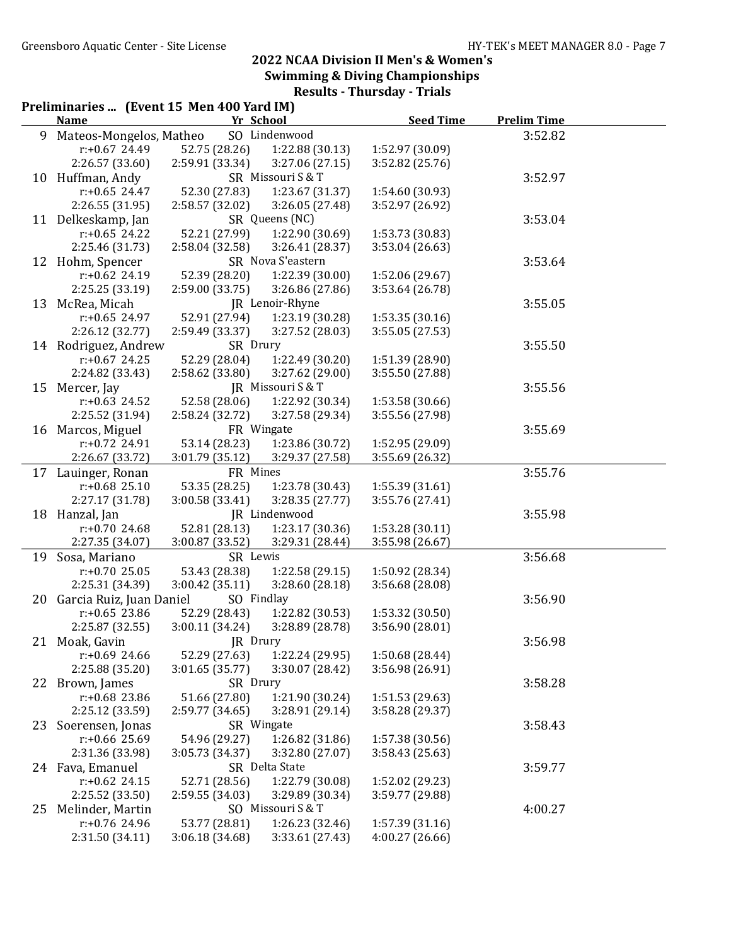|    | Preliminaries  (Event 15 Men 400 Yard IM)<br><b>Name</b> | Yr School                        |                   | <b>Seed Time</b> | <b>Prelim Time</b> |  |
|----|----------------------------------------------------------|----------------------------------|-------------------|------------------|--------------------|--|
| 9  | Mateos-Mongelos, Matheo                                  |                                  | SO Lindenwood     |                  | 3:52.82            |  |
|    | $r: +0.67$ 24.49                                         | 52.75 (28.26)                    | 1:22.88 (30.13)   | 1:52.97 (30.09)  |                    |  |
|    | 2:26.57 (33.60)                                          | 2:59.91 (33.34)                  | 3:27.06(27.15)    | 3:52.82 (25.76)  |                    |  |
| 10 | Huffman, Andy                                            |                                  | SR Missouri S & T |                  | 3:52.97            |  |
|    | $r: +0.65$ 24.47                                         | 52.30 (27.83)                    | 1:23.67 (31.37)   | 1:54.60 (30.93)  |                    |  |
|    | 2:26.55 (31.95)                                          | 2:58.57 (32.02)                  | 3:26.05 (27.48)   | 3:52.97 (26.92)  |                    |  |
|    | 11 Delkeskamp, Jan                                       |                                  | SR Queens (NC)    |                  | 3:53.04            |  |
|    | $r: +0.65$ 24.22                                         | 52.21 (27.99)                    | 1:22.90 (30.69)   | 1:53.73 (30.83)  |                    |  |
|    | 2:25.46 (31.73)                                          | 2:58.04 (32.58)                  | 3:26.41 (28.37)   | 3:53.04 (26.63)  |                    |  |
|    | 12 Hohm, Spencer                                         |                                  | SR Nova S'eastern |                  | 3:53.64            |  |
|    | $r: +0.62$ 24.19                                         | 52.39 (28.20)                    | 1:22.39 (30.00)   | 1:52.06 (29.67)  |                    |  |
|    | 2:25.25 (33.19)                                          | 2:59.00 (33.75)                  | 3:26.86 (27.86)   | 3:53.64 (26.78)  |                    |  |
|    | 13 McRea, Micah                                          |                                  | JR Lenoir-Rhyne   |                  | 3:55.05            |  |
|    | $r: +0.65$ 24.97                                         | 52.91 (27.94)                    | 1:23.19 (30.28)   | 1:53.35(30.16)   |                    |  |
|    | 2:26.12 (32.77)                                          | 2:59.49 (33.37)                  | 3:27.52 (28.03)   | 3:55.05 (27.53)  |                    |  |
|    | 14 Rodriguez, Andrew                                     | SR Drury                         |                   |                  | 3:55.50            |  |
|    | $r: +0.67$ 24.25                                         | 52.29 (28.04)                    | 1:22.49 (30.20)   | 1:51.39 (28.90)  |                    |  |
|    | 2:24.82 (33.43)                                          | 2:58.62 (33.80)                  | 3:27.62 (29.00)   | 3:55.50 (27.88)  |                    |  |
|    | 15 Mercer, Jay                                           |                                  | JR Missouri S & T |                  | 3:55.56            |  |
|    | $r: +0.63$ 24.52                                         | 52.58 (28.06)                    | 1:22.92 (30.34)   | 1:53.58 (30.66)  |                    |  |
|    | 2:25.52 (31.94)                                          | 2:58.24 (32.72)                  | 3:27.58 (29.34)   | 3:55.56 (27.98)  |                    |  |
|    | 16 Marcos, Miguel                                        |                                  | FR Wingate        |                  | 3:55.69            |  |
|    | $r: +0.72$ 24.91                                         | 53.14 (28.23)                    | 1:23.86 (30.72)   | 1:52.95 (29.09)  |                    |  |
|    | 2:26.67 (33.72)                                          | 3:01.79 (35.12)                  | 3:29.37 (27.58)   | 3:55.69 (26.32)  |                    |  |
| 17 | Lauinger, Ronan                                          | FR Mines                         |                   |                  | 3:55.76            |  |
|    | $r: +0.68$ 25.10                                         | 53.35 (28.25)                    | 1:23.78 (30.43)   | 1:55.39(31.61)   |                    |  |
|    | 2:27.17 (31.78)                                          | 3:00.58 (33.41)                  | 3:28.35 (27.77)   | 3:55.76 (27.41)  |                    |  |
|    | 18 Hanzal, Jan                                           |                                  | JR Lindenwood     |                  | 3:55.98            |  |
|    | $r: +0.70$ 24.68                                         | 52.81 (28.13)                    | 1:23.17 (30.36)   | 1:53.28 (30.11)  |                    |  |
|    | 2:27.35 (34.07)                                          | 3:00.87 (33.52)                  | 3:29.31 (28.44)   | 3:55.98 (26.67)  |                    |  |
|    | 19 Sosa, Mariano                                         | SR Lewis                         |                   |                  | 3:56.68            |  |
|    | $r: +0.70$ 25.05                                         |                                  | 1:22.58(29.15)    | 1:50.92 (28.34)  |                    |  |
|    | 2:25.31 (34.39)                                          | 53.43 (28.38)<br>3:00.42 (35.11) | 3:28.60 (28.18)   | 3:56.68 (28.08)  |                    |  |
|    | 20 Garcia Ruiz, Juan Daniel                              | SO Findlay                       |                   |                  | 3:56.90            |  |
|    | $r: +0.65$ 23.86                                         | 52.29 (28.43)                    | 1:22.82 (30.53)   | 1:53.32 (30.50)  |                    |  |
|    | 2:25.87 (32.55)                                          | 3:00.11 (34.24)                  | 3:28.89 (28.78)   | 3:56.90 (28.01)  |                    |  |
|    |                                                          | JR Drury                         |                   |                  |                    |  |
|    | 21 Moak, Gavin<br>$r: +0.69$ 24.66                       | 52.29 (27.63)                    | 1:22.24 (29.95)   | 1:50.68 (28.44)  | 3:56.98            |  |
|    | 2:25.88 (35.20)                                          | 3:01.65 (35.77)                  | 3:30.07 (28.42)   | 3:56.98 (26.91)  |                    |  |
|    | 22 Brown, James                                          | SR Drury                         |                   |                  | 3:58.28            |  |
|    | r:+0.68 23.86                                            | 51.66 (27.80)                    | 1:21.90 (30.24)   | 1:51.53 (29.63)  |                    |  |
|    | 2:25.12 (33.59)                                          | 2:59.77 (34.65)                  | 3:28.91 (29.14)   | 3:58.28 (29.37)  |                    |  |
|    |                                                          |                                  | SR Wingate        |                  |                    |  |
| 23 | Soerensen, Jonas<br>$r: +0.66$ 25.69                     |                                  | 1:26.82 (31.86)   |                  | 3:58.43            |  |
|    |                                                          | 54.96 (29.27)                    |                   | 1:57.38 (30.56)  |                    |  |
|    | 2:31.36 (33.98)                                          | 3:05.73 (34.37)                  | 3:32.80 (27.07)   | 3:58.43 (25.63)  |                    |  |
|    | 24 Fava, Emanuel                                         |                                  | SR Delta State    |                  | 3:59.77            |  |
|    | $r: +0.62$ 24.15                                         | 52.71 (28.56)                    | 1:22.79 (30.08)   | 1:52.02 (29.23)  |                    |  |
|    | 2:25.52 (33.50)                                          | 2:59.55 (34.03)                  | 3:29.89 (30.34)   | 3:59.77 (29.88)  |                    |  |
| 25 | Melinder, Martin                                         |                                  | SO Missouri S & T |                  | 4:00.27            |  |
|    | r:+0.76 24.96                                            | 53.77 (28.81)                    | 1:26.23 (32.46)   | 1:57.39(31.16)   |                    |  |
|    | 2:31.50 (34.11)                                          | 3:06.18 (34.68)                  | 3:33.61 (27.43)   | 4:00.27(26.66)   |                    |  |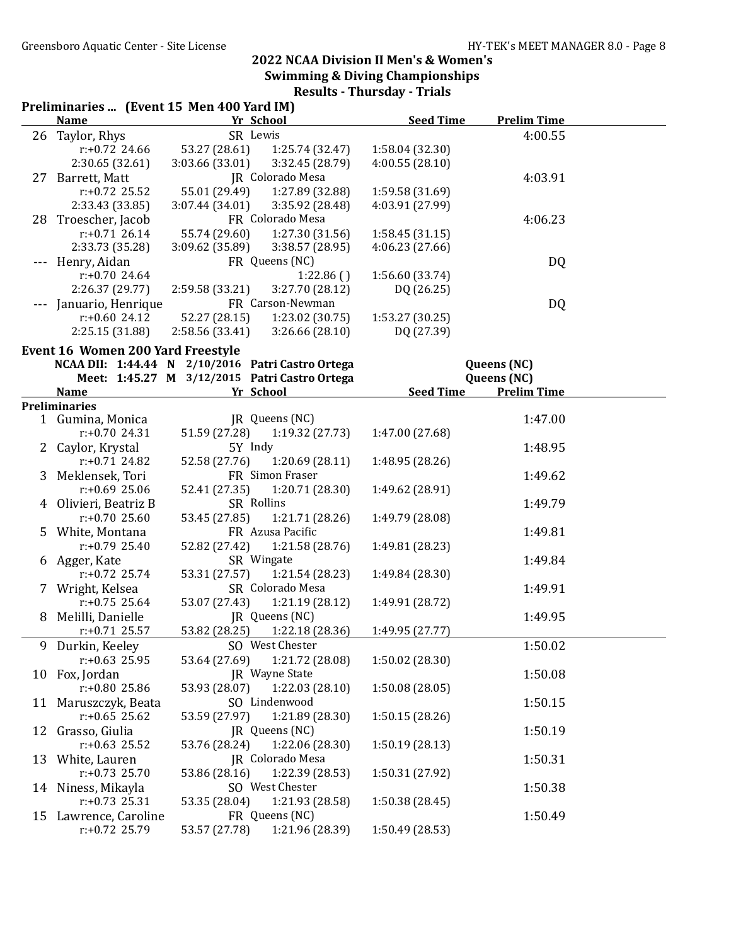|    | Preliminaries  (Event 15 Men 400 Yard IM)         |                 |                                               |                  |                    |  |
|----|---------------------------------------------------|-----------------|-----------------------------------------------|------------------|--------------------|--|
|    | <b>Name</b>                                       | Yr School       |                                               | <b>Seed Time</b> | <b>Prelim Time</b> |  |
|    | 26 Taylor, Rhys                                   | SR Lewis        |                                               |                  | 4:00.55            |  |
|    | $r: +0.72$ 24.66                                  | 53.27 (28.61)   | 1:25.74 (32.47)                               | 1:58.04 (32.30)  |                    |  |
|    | 2:30.65(32.61)                                    | 3:03.66 (33.01) | 3:32.45 (28.79)                               | 4:00.55(28.10)   |                    |  |
|    | 27 Barrett, Matt                                  |                 | JR Colorado Mesa                              |                  | 4:03.91            |  |
|    | $r: +0.72$ 25.52                                  | 55.01 (29.49)   | 1:27.89 (32.88)                               | 1:59.58 (31.69)  |                    |  |
|    | 2:33.43 (33.85)                                   | 3:07.44 (34.01) | 3:35.92 (28.48)                               | 4:03.91 (27.99)  |                    |  |
|    | 28 Troescher, Jacob                               |                 | FR Colorado Mesa                              |                  | 4:06.23            |  |
|    | $r: +0.71$ 26.14                                  | 55.74 (29.60)   | 1:27.30(31.56)                                | 1:58.45(31.15)   |                    |  |
|    | 2:33.73 (35.28)                                   | 3:09.62 (35.89) | 3:38.57 (28.95)                               | 4:06.23(27.66)   |                    |  |
|    | Henry, Aidan                                      |                 | FR Queens (NC)                                |                  | DQ                 |  |
|    | $r: +0.70$ 24.64                                  |                 | 1:22.86()                                     | 1:56.60 (33.74)  |                    |  |
|    | 2:26.37 (29.77)                                   | 2:59.58 (33.21) | 3:27.70 (28.12)                               | DQ (26.25)       |                    |  |
|    | Januario, Henrique                                |                 | FR Carson-Newman                              |                  | DQ                 |  |
|    | $r: +0.6024.12$                                   | 52.27 (28.15)   | 1:23.02 (30.75)                               | 1:53.27(30.25)   |                    |  |
|    | 2:25.15 (31.88)                                   |                 |                                               | DQ (27.39)       |                    |  |
|    |                                                   | 2:58.56(33.41)  | 3:26.66(28.10)                                |                  |                    |  |
|    | <b>Event 16 Women 200 Yard Freestyle</b>          |                 |                                               |                  |                    |  |
|    | NCAA DII: 1:44.44 N 2/10/2016 Patri Castro Ortega |                 |                                               |                  | Queens (NC)        |  |
|    |                                                   |                 | Meet: 1:45.27 M 3/12/2015 Patri Castro Ortega |                  | Queens (NC)        |  |
|    | <b>Name</b>                                       | Yr School       |                                               | <b>Seed Time</b> | <b>Prelim Time</b> |  |
|    | <b>Preliminaries</b>                              |                 |                                               |                  |                    |  |
|    | 1 Gumina, Monica                                  |                 | JR Queens (NC)                                |                  | 1:47.00            |  |
|    | $r: +0.70$ 24.31                                  | 51.59 (27.28)   | 1:19.32(27.73)                                | 1:47.00 (27.68)  |                    |  |
|    | 2 Caylor, Krystal                                 | 5Y Indy         |                                               |                  | 1:48.95            |  |
|    | $r: +0.71$ 24.82                                  | 52.58 (27.76)   | 1:20.69(28.11)                                | 1:48.95 (28.26)  |                    |  |
|    | 3 Meklensek, Tori                                 |                 | FR Simon Fraser                               |                  | 1:49.62            |  |
|    | $r: +0.69$ 25.06                                  | 52.41 (27.35)   | 1:20.71 (28.30)                               | 1:49.62 (28.91)  |                    |  |
|    | 4 Olivieri, Beatriz B                             | SR Rollins      |                                               |                  | 1:49.79            |  |
|    | $r: +0.7025.60$                                   | 53.45 (27.85)   | 1:21.71 (28.26)                               | 1:49.79 (28.08)  |                    |  |
|    | 5 White, Montana                                  |                 | FR Azusa Pacific                              |                  | 1:49.81            |  |
|    | $r: +0.79$ 25.40                                  | 52.82 (27.42)   | 1:21.58 (28.76)                               | 1:49.81 (28.23)  |                    |  |
|    | 6 Agger, Kate                                     | SR Wingate      |                                               |                  | 1:49.84            |  |
|    | $r: +0.72$ 25.74                                  | 53.31 (27.57)   | 1:21.54 (28.23)                               | 1:49.84 (28.30)  |                    |  |
|    |                                                   |                 | SR Colorado Mesa                              |                  |                    |  |
|    | 7 Wright, Kelsea                                  |                 |                                               |                  | 1:49.91            |  |
|    | $r: +0.75$ 25.64                                  | 53.07 (27.43)   | 1:21.19(28.12)                                | 1:49.91 (28.72)  |                    |  |
| 8  | Melilli, Danielle                                 |                 | JR Queens (NC)                                |                  | 1:49.95            |  |
|    | $r: +0.71$ 25.57                                  | 53.82 (28.25)   | 1:22.18 (28.36)                               | 1:49.95 (27.77)  |                    |  |
| 9  | Durkin, Keeley                                    |                 | SO West Chester                               |                  | 1:50.02            |  |
|    | $r: +0.63$ 25.95                                  | 53.64 (27.69)   | 1:21.72 (28.08)                               | 1:50.02 (28.30)  |                    |  |
|    | 10 Fox, Jordan                                    |                 | JR Wayne State                                |                  | 1:50.08            |  |
|    | r:+0.80 25.86                                     | 53.93 (28.07)   | 1:22.03(28.10)                                | 1:50.08 (28.05)  |                    |  |
|    | 11 Maruszczyk, Beata                              |                 | SO Lindenwood                                 |                  | 1:50.15            |  |
|    | $r: +0.65$ 25.62                                  | 53.59 (27.97)   | 1:21.89 (28.30)                               | 1:50.15(28.26)   |                    |  |
|    | 12 Grasso, Giulia                                 |                 | JR Queens (NC)                                |                  | 1:50.19            |  |
|    | $r: +0.63$ 25.52                                  | 53.76 (28.24)   | 1:22.06 (28.30)                               | 1:50.19(28.13)   |                    |  |
|    | 13 White, Lauren                                  |                 | <b>JR</b> Colorado Mesa                       |                  | 1:50.31            |  |
|    | $r: +0.73$ 25.70                                  | 53.86 (28.16)   | 1:22.39 (28.53)                               | 1:50.31 (27.92)  |                    |  |
|    | 14 Niness, Mikayla                                |                 | SO West Chester                               |                  | 1:50.38            |  |
|    | $r: +0.73$ 25.31                                  | 53.35 (28.04)   | 1:21.93 (28.58)                               | 1:50.38 (28.45)  |                    |  |
| 15 | Lawrence, Caroline                                |                 | FR Queens (NC)                                |                  | 1:50.49            |  |
|    | r:+0.72 25.79                                     | 53.57 (27.78)   | 1:21.96 (28.39)                               | 1:50.49 (28.53)  |                    |  |
|    |                                                   |                 |                                               |                  |                    |  |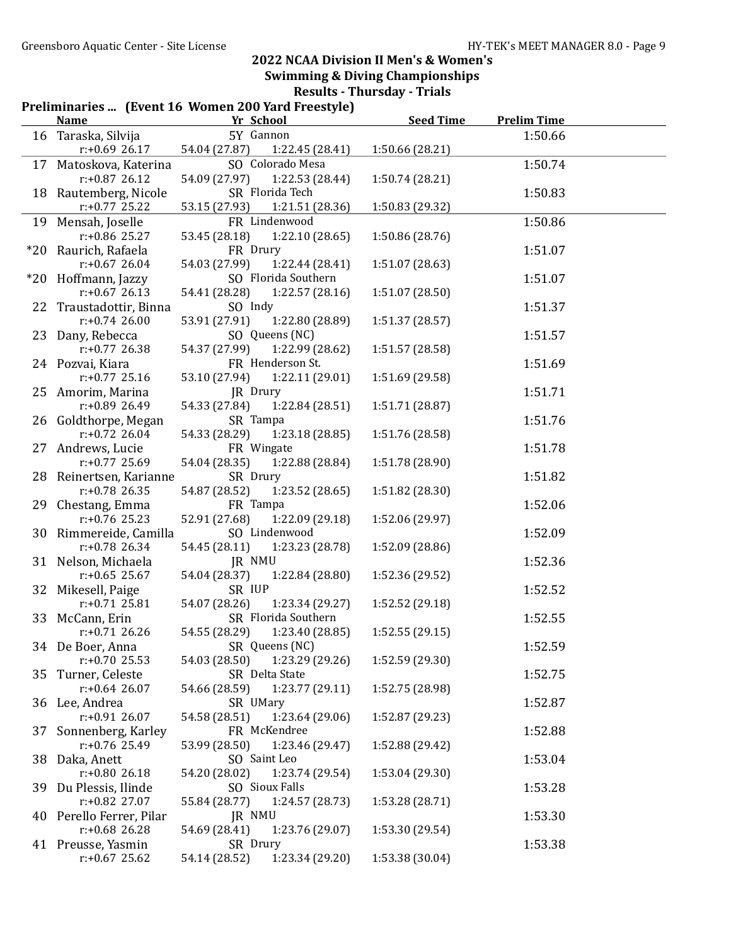|    | Preliminaries  (Event 16 Women 200 Yard Freestyle)<br><b>Name</b> | Yr School                 | <b>Seed Time</b>    | <b>Prelim Time</b> |         |
|----|-------------------------------------------------------------------|---------------------------|---------------------|--------------------|---------|
|    |                                                                   | 5Y Gannon                 |                     |                    |         |
|    | 16 Taraska, Silvija                                               |                           |                     |                    | 1:50.66 |
|    | $r+0.69$ 26.17                                                    | 54.04 (27.87)             | 1:22.45 (28.41)     | 1:50.66 (28.21)    |         |
|    | 17 Matoskova, Katerina                                            |                           | SO Colorado Mesa    |                    | 1:50.74 |
|    | $r: +0.87$ 26.12                                                  | 54.09 (27.97)             | 1:22.53 (28.44)     | 1:50.74 (28.21)    |         |
|    | 18 Rautemberg, Nicole                                             | SR Florida Tech           |                     |                    | 1:50.83 |
|    | $r: +0.77$ 25.22                                                  | 53.15 (27.93)             | 1:21.51 (28.36)     | 1:50.83 (29.32)    |         |
|    | 19 Mensah, Joselle                                                | FR Lindenwood             |                     |                    | 1:50.86 |
|    | $r: +0.86$ 25.27                                                  | 53.45 (28.18)             | 1:22.10 (28.65)     | 1:50.86 (28.76)    |         |
|    | *20 Raurich, Rafaela                                              | FR Drury                  |                     |                    | 1:51.07 |
|    | $r: +0.67$ 26.04                                                  | 54.03 (27.99)             | 1:22.44 (28.41)     | 1:51.07 (28.63)    |         |
|    | *20 Hoffmann, Jazzy                                               |                           | SO Florida Southern |                    | 1:51.07 |
|    | $r: +0.67$ 26.13                                                  | 54.41 (28.28)             | 1:22.57(28.16)      | 1:51.07 (28.50)    |         |
|    | 22 Traustadottir, Binna                                           | SO Indy                   |                     |                    | 1:51.37 |
|    | $r: +0.74$ 26.00                                                  | 53.91 (27.91)             | 1:22.80 (28.89)     | 1:51.37 (28.57)    |         |
|    | 23 Dany, Rebecca                                                  | SO Queens (NC)            |                     |                    | 1:51.57 |
|    | $r: +0.77$ 26.38                                                  | 54.37 (27.99)             | 1:22.99 (28.62)     | 1:51.57 (28.58)    |         |
|    | 24 Pozvai, Kiara                                                  | FR Henderson St.          |                     |                    | 1:51.69 |
|    | $r: +0.77$ 25.16                                                  | 53.10 (27.94)             | 1:22.11 (29.01)     | 1:51.69 (29.58)    |         |
|    | 25 Amorim, Marina                                                 | JR Drury                  |                     |                    | 1:51.71 |
|    | r:+0.89 26.49                                                     | 54.33 (27.84)             | 1:22.84 (28.51)     | 1:51.71 (28.87)    |         |
|    | 26 Goldthorpe, Megan                                              | SR Tampa                  |                     |                    | 1:51.76 |
|    | $r: +0.72$ 26.04                                                  | 54.33 (28.29)             | 1:23.18 (28.85)     | 1:51.76 (28.58)    |         |
|    | 27 Andrews, Lucie                                                 | FR Wingate                |                     |                    | 1:51.78 |
|    | $r: +0.77$ 25.69                                                  | 54.04 (28.35)             | 1:22.88 (28.84)     | 1:51.78 (28.90)    |         |
|    | 28 Reinertsen, Karianne                                           | SR Drury                  |                     |                    | 1:51.82 |
|    | $r: +0.78$ 26.35                                                  | 54.87 (28.52)<br>FR Tampa | 1:23.52(28.65)      | 1:51.82 (28.30)    |         |
|    | 29 Chestang, Emma<br>$r: +0.76$ 25.23                             | 52.91 (27.68)             | 1:22.09 (29.18)     |                    | 1:52.06 |
|    | 30 Rimmereide, Camilla                                            | SO Lindenwood             |                     | 1:52.06 (29.97)    | 1:52.09 |
|    | $r: +0.78$ 26.34                                                  | 54.45 (28.11)             | 1:23.23 (28.78)     | 1:52.09 (28.86)    |         |
|    | 31 Nelson, Michaela                                               | JR NMU                    |                     |                    | 1:52.36 |
|    | $r: +0.65$ 25.67                                                  | 54.04 (28.37)             | 1:22.84 (28.80)     | 1:52.36 (29.52)    |         |
|    | 32 Mikesell, Paige                                                | SR IUP                    |                     |                    | 1:52.52 |
|    | $r: +0.71$ 25.81                                                  | 54.07 (28.26)             | 1:23.34 (29.27)     | 1:52.52 (29.18)    |         |
|    | 33 McCann, Erin                                                   |                           | SR Florida Southern |                    | 1:52.55 |
|    | $r: +0.71$ 26.26                                                  | 54.55 (28.29)             | 1:23.40 (28.85)     | 1:52.55 (29.15)    |         |
|    | 34 De Boer, Anna                                                  | SR Queens (NC)            |                     |                    | 1:52.59 |
|    | $r: +0.70$ 25.53                                                  | 54.03 (28.50)             | 1:23.29 (29.26)     | 1:52.59 (29.30)    |         |
| 35 | Turner, Celeste                                                   | SR Delta State            |                     |                    | 1:52.75 |
|    | $r: +0.64$ 26.07                                                  | 54.66 (28.59)             | 1:23.77 (29.11)     | 1:52.75 (28.98)    |         |
|    | 36 Lee, Andrea                                                    | SR UMary                  |                     |                    | 1:52.87 |
|    | r:+0.91 26.07                                                     | 54.58 (28.51)             | 1:23.64 (29.06)     | 1:52.87 (29.23)    |         |
|    | 37 Sonnenberg, Karley                                             | FR McKendree              |                     |                    | 1:52.88 |
|    | $r: +0.76$ 25.49                                                  | 53.99 (28.50)             | 1:23.46 (29.47)     | 1:52.88 (29.42)    |         |
|    | 38 Daka, Anett                                                    | SO Saint Leo              |                     |                    | 1:53.04 |
|    | $r: +0.8026.18$                                                   | 54.20 (28.02)             | 1:23.74 (29.54)     | 1:53.04 (29.30)    |         |
|    | 39 Du Plessis, Ilinde                                             | SO Sioux Falls            |                     |                    | 1:53.28 |
|    | r:+0.82 27.07                                                     | 55.84 (28.77)             | 1:24.57 (28.73)     | 1:53.28 (28.71)    |         |
|    | 40 Perello Ferrer, Pilar                                          | JR NMU                    |                     |                    | 1:53.30 |
|    | $r: +0.68$ 26.28                                                  | 54.69 (28.41)             | 1:23.76 (29.07)     | 1:53.30 (29.54)    |         |
|    | 41 Preusse, Yasmin                                                | SR Drury                  |                     |                    | 1:53.38 |
|    | $r: +0.67$ 25.62                                                  | 54.14 (28.52)             | 1:23.34 (29.20)     | 1:53.38 (30.04)    |         |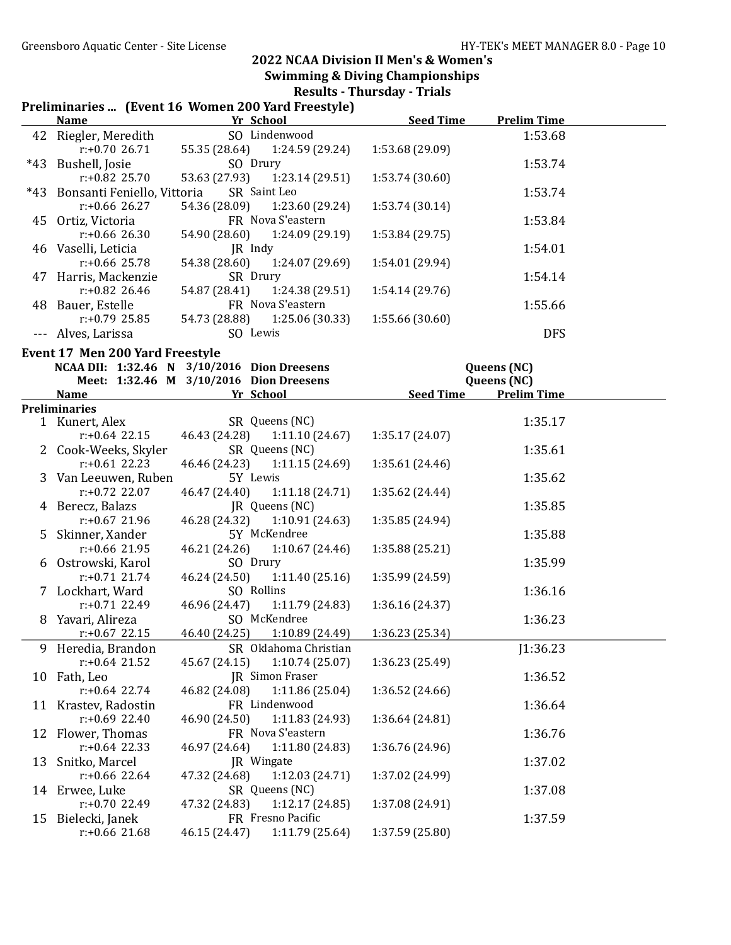Results - Thursday - Trials

| Preliminaries  (Event 16 Women 200 Yard Freestyle) |  |  |  |  |  |
|----------------------------------------------------|--|--|--|--|--|
|----------------------------------------------------|--|--|--|--|--|

|    | <b>Name</b>                     | Yr School     |                               | <b>Seed Time</b> | <b>Prelim Time</b> |  |
|----|---------------------------------|---------------|-------------------------------|------------------|--------------------|--|
|    | 42 Riegler, Meredith            |               | SO Lindenwood                 |                  | 1:53.68            |  |
|    | $r: +0.7026.71$                 |               | 55.35 (28.64) 1:24.59 (29.24) | 1:53.68 (29.09)  |                    |  |
|    | *43 Bushell, Josie              | SO Drury      |                               |                  | 1:53.74            |  |
|    | $r: +0.82$ 25.70                | 53.63 (27.93) | 1:23.14(29.51)                | 1:53.74 (30.60)  |                    |  |
|    | *43 Bonsanti Feniello, Vittoria |               | SR Saint Leo                  |                  | 1:53.74            |  |
|    | $r: +0.66$ 26.27                |               | 54.36 (28.09) 1:23.60 (29.24) | 1:53.74(30.14)   |                    |  |
|    | 45 Ortiz, Victoria              |               | FR Nova S'eastern             |                  | 1:53.84            |  |
|    | $r: +0.66$ 26.30                | 54.90 (28.60) | 1:24.09 (29.19)               | 1:53.84 (29.75)  |                    |  |
|    | 46 Vaselli, Leticia             | JR Indy       |                               |                  | 1:54.01            |  |
|    | $r: +0.66$ 25.78                |               | 54.38 (28.60) 1:24.07 (29.69) | 1:54.01 (29.94)  |                    |  |
|    | 47 Harris, Mackenzie            | SR Drury      |                               |                  | 1:54.14            |  |
|    | $r: +0.82$ 26.46                | 54.87 (28.41) | 1:24.38 (29.51)               | 1:54.14(29.76)   |                    |  |
| 48 | Bauer, Estelle                  |               | FR Nova S'eastern             |                  | 1:55.66            |  |
|    | $r: +0.79$ 25.85                |               | 54.73 (28.88) 1:25.06 (30.33) | 1:55.66(30.60)   |                    |  |
|    | Alves, Larissa                  | SO Lewis      |                               |                  | <b>DFS</b>         |  |

Event 17 Men 200 Yard Freestyle

 $\overline{a}$ 

|                      | NCAA DII: 1:32.46 N 3/10/2016 Dion Dreesens |                  | Queens (NC)        |
|----------------------|---------------------------------------------|------------------|--------------------|
|                      | Meet: 1:32.46 M 3/10/2016 Dion Dreesens     |                  | Queens (NC)        |
| <b>Name</b>          | Yr School                                   | <b>Seed Time</b> | <b>Prelim Time</b> |
| <b>Preliminaries</b> |                                             |                  |                    |
| 1 Kunert, Alex       | SR Queens (NC)                              |                  | 1:35.17            |
| $r: +0.64$ 22.15     | 46.43 (24.28)<br>1:11.10(24.67)             | 1:35.17(24.07)   |                    |
| 2 Cook-Weeks, Skyler | SR Queens (NC)                              |                  | 1:35.61            |
| $r: +0.61$ 22.23     | 46.46 (24.23)<br>1:11.15 (24.69)            | 1:35.61 (24.46)  |                    |
| 3 Van Leeuwen, Ruben | 5Y Lewis                                    |                  | 1:35.62            |
| $r: +0.72$ 22.07     | 46.47 (24.40)<br>1:11.18(24.71)             | 1:35.62 (24.44)  |                    |
| 4 Berecz, Balazs     | JR Queens (NC)                              |                  | 1:35.85            |
| $r: +0.67$ 21.96     | 46.28 (24.32)<br>1:10.91(24.63)             | 1:35.85 (24.94)  |                    |
| 5 Skinner, Xander    | 5Y McKendree                                |                  | 1:35.88            |
| $r: +0.66$ 21.95     | 46.21 (24.26)<br>1:10.67(24.46)             | 1:35.88 (25.21)  |                    |
| 6 Ostrowski, Karol   | SO Drury                                    |                  | 1:35.99            |
| $r: +0.71$ 21.74     | 46.24 (24.50)<br>1:11.40 (25.16)            | 1:35.99 (24.59)  |                    |
| 7 Lockhart, Ward     | SO Rollins                                  |                  | 1:36.16            |
| $r: +0.71$ 22.49     | 46.96 (24.47) 1:11.79 (24.83)               | 1:36.16 (24.37)  |                    |
| 8 Yavari, Alireza    | SO McKendree                                |                  | 1:36.23            |
| $r: +0.67$ 22.15     | 46.40 (24.25)<br>1:10.89 (24.49)            | 1:36.23 (25.34)  |                    |
| 9 Heredia, Brandon   | SR Oklahoma Christian                       |                  | J1:36.23           |
| $r: +0.64$ 21.52     | 45.67 (24.15)<br>1:10.74(25.07)             | 1:36.23 (25.49)  |                    |
| 10 Fath, Leo         | <b>JR</b> Simon Fraser                      |                  | 1:36.52            |
| $r: +0.64$ 22.74     | 46.82 (24.08)<br>1:11.86(25.04)             | 1:36.52 (24.66)  |                    |
| 11 Krastev, Radostin | FR Lindenwood                               |                  | 1:36.64            |
| $r: +0.69$ 22.40     | 46.90 (24.50) 1:11.83 (24.93)               | 1:36.64 (24.81)  |                    |
| 12 Flower, Thomas    | FR Nova S'eastern                           |                  | 1:36.76            |
| $r: +0.64$ 22.33     | 46.97 (24.64)<br>1:11.80 (24.83)            | 1:36.76 (24.96)  |                    |
| 13 Snitko, Marcel    | <b>IR</b> Wingate                           |                  | 1:37.02            |
| $r: +0.66$ 22.64     | 1:12.03 (24.71)<br>47.32 (24.68)            | 1:37.02 (24.99)  |                    |
| 14 Erwee, Luke       | SR Queens (NC)                              |                  | 1:37.08            |
| $r: +0.70$ 22.49     | 1:12.17 (24.85)<br>47.32 (24.83)            | 1:37.08 (24.91)  |                    |
| 15 Bielecki, Janek   | FR Fresno Pacific                           |                  | 1:37.59            |
| $r: +0.66$ 21.68     | 1:11.79(25.64)<br>46.15 (24.47)             | 1:37.59 (25.80)  |                    |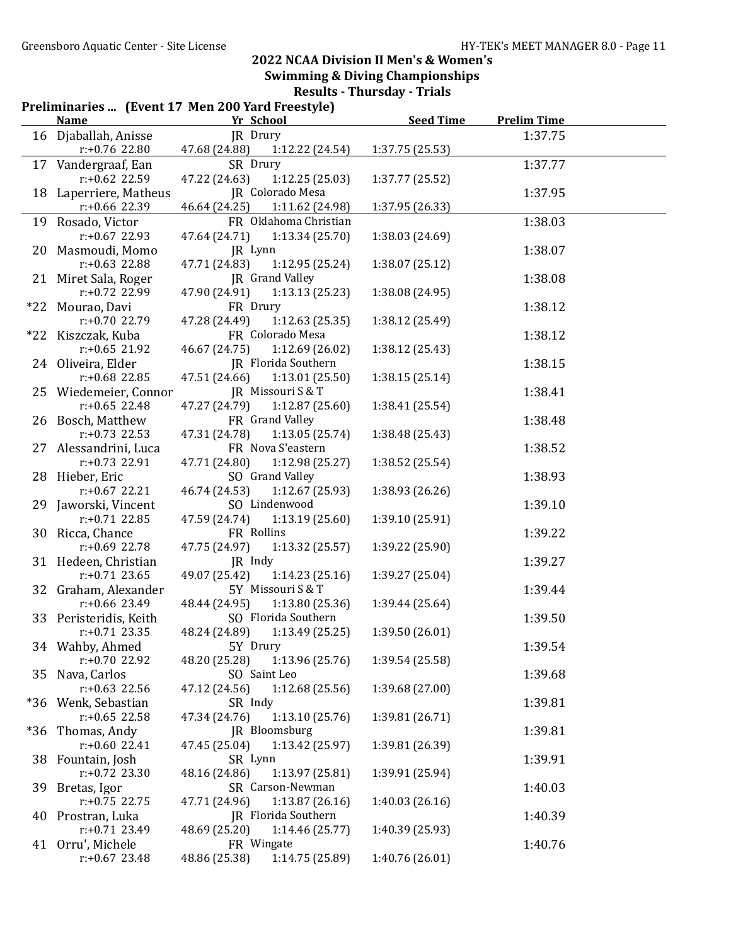| Preliminaries  (Event 17 Men 200 Yard Freestyle) |                                            |                                                        |                  |                    |  |
|--------------------------------------------------|--------------------------------------------|--------------------------------------------------------|------------------|--------------------|--|
|                                                  | <b>Name</b>                                | Yr School                                              | <b>Seed Time</b> | <b>Prelim Time</b> |  |
|                                                  | 16 Djaballah, Anisse                       | JR Drury                                               |                  | 1:37.75            |  |
|                                                  | $r: +0.76$ 22.80                           | 47.68 (24.88)<br>1:12.22(24.54)                        | 1:37.75 (25.53)  |                    |  |
|                                                  | 17 Vandergraaf, Ean                        | SR Drury                                               |                  | 1:37.77            |  |
|                                                  | r:+0.62 22.59                              | 47.22 (24.63)<br>1:12.25(25.03)                        | 1:37.77 (25.52)  |                    |  |
|                                                  | 18 Laperriere, Matheus                     | <b>JR</b> Colorado Mesa                                |                  | 1:37.95            |  |
|                                                  | $r: +0.66$ 22.39                           | 46.64 (24.25)<br>1:11.62 (24.98)                       | 1:37.95 (26.33)  |                    |  |
|                                                  | 19 Rosado, Victor                          | FR Oklahoma Christian                                  |                  | 1:38.03            |  |
|                                                  | $r: +0.67$ 22.93                           | 47.64 (24.71)<br>1:13.34(25.70)                        | 1:38.03 (24.69)  |                    |  |
|                                                  | 20 Masmoudi, Momo                          | JR Lynn                                                |                  | 1:38.07            |  |
|                                                  | $r: +0.63$ 22.88                           | 47.71 (24.83)<br>1:12.95 (25.24)                       | 1:38.07 (25.12)  |                    |  |
|                                                  | 21 Miret Sala, Roger                       | JR Grand Valley                                        |                  | 1:38.08            |  |
|                                                  | r:+0.72 22.99                              | 47.90 (24.91)<br>1:13.13(25.23)                        | 1:38.08 (24.95)  |                    |  |
|                                                  | *22 Mourao, Davi                           | FR Drury                                               |                  | 1:38.12            |  |
|                                                  | $r: +0.70$ 22.79                           | 47.28 (24.49)<br>1:12.63(25.35)                        | 1:38.12 (25.49)  |                    |  |
|                                                  | *22 Kiszczak, Kuba                         | FR Colorado Mesa                                       |                  | 1:38.12            |  |
|                                                  | $r: +0.65$ 21.92                           | 1:12.69(26.02)<br>46.67 (24.75)                        | 1:38.12 (25.43)  |                    |  |
|                                                  | 24 Oliveira, Elder                         | <b>JR</b> Florida Southern                             |                  | 1:38.15            |  |
|                                                  | $r: +0.68$ 22.85                           | 47.51 (24.66)<br>1:13.01(25.50)                        | 1:38.15(25.14)   |                    |  |
|                                                  | 25 Wiedemeier, Connor                      | JR Missouri S & T                                      |                  | 1:38.41            |  |
|                                                  | $r: +0.65$ 22.48                           | 47.27 (24.79)<br>1:12.87(25.60)                        | 1:38.41 (25.54)  |                    |  |
|                                                  | 26 Bosch, Matthew                          | FR Grand Valley                                        |                  | 1:38.48            |  |
|                                                  | $r: +0.73$ 22.53                           | 47.31 (24.78)<br>1:13.05(25.74)                        | 1:38.48 (25.43)  |                    |  |
|                                                  | 27 Alessandrini, Luca                      | FR Nova S'eastern                                      |                  | 1:38.52            |  |
|                                                  | $r: +0.73$ 22.91                           | 47.71 (24.80)<br>1:12.98(25.27)                        | 1:38.52 (25.54)  |                    |  |
|                                                  | 28 Hieber, Eric                            | SO Grand Valley                                        |                  | 1:38.93            |  |
|                                                  | $r: +0.67$ 22.21                           | 46.74 (24.53)<br>1:12.67(25.93)                        | 1:38.93 (26.26)  |                    |  |
|                                                  | 29 Jaworski, Vincent                       | SO Lindenwood                                          |                  | 1:39.10            |  |
|                                                  | $r: +0.71$ 22.85                           | 47.59 (24.74)<br>1:13.19(25.60)                        | 1:39.10 (25.91)  |                    |  |
|                                                  | 30 Ricca, Chance                           | FR Rollins                                             |                  | 1:39.22            |  |
|                                                  | r:+0.69 22.78                              | 47.75 (24.97)<br>1:13.32(25.57)                        | 1:39.22 (25.90)  |                    |  |
|                                                  | 31 Hedeen, Christian                       | JR Indy                                                |                  | 1:39.27            |  |
|                                                  | $r: +0.71$ 23.65                           | 49.07 (25.42)<br>1:14.23(25.16)                        | 1:39.27 (25.04)  |                    |  |
|                                                  | 32 Graham, Alexander                       | 5Y Missouri S & T                                      |                  | 1:39.44            |  |
|                                                  | $r: +0.66$ 23.49<br>33 Peristeridis, Keith | 48.44 (24.95)<br>1:13.80(25.36)<br>SO Florida Southern | 1:39.44 (25.64)  |                    |  |
|                                                  | $r: +0.71$ 23.35                           |                                                        |                  | 1:39.50            |  |
|                                                  | 34 Wahby, Ahmed                            | 48.24 (24.89)<br>1:13.49 (25.25)<br>5Y Drury           | 1:39.50 (26.01)  | 1:39.54            |  |
|                                                  | r:+0.70 22.92                              | 48.20 (25.28)<br>1:13.96 (25.76)                       | 1:39.54 (25.58)  |                    |  |
|                                                  | 35 Nava, Carlos                            | SO Saint Leo                                           |                  | 1:39.68            |  |
|                                                  | $r: +0.63$ 22.56                           | 47.12 (24.56)<br>1:12.68 (25.56)                       | 1:39.68 (27.00)  |                    |  |
|                                                  | *36 Wenk, Sebastian                        | SR Indy                                                |                  | 1:39.81            |  |
|                                                  | $r: +0.65$ 22.58                           | 47.34 (24.76)<br>1:13.10(25.76)                        | 1:39.81 (26.71)  |                    |  |
| $*36$                                            | Thomas, Andy                               | JR Bloomsburg                                          |                  | 1:39.81            |  |
|                                                  | $r: +0.60$ 22.41                           | 47.45 (25.04)<br>1:13.42 (25.97)                       | 1:39.81 (26.39)  |                    |  |
|                                                  | 38 Fountain, Josh                          | SR Lynn                                                |                  | 1:39.91            |  |
|                                                  | $r: +0.72$ 23.30                           | 48.16 (24.86)<br>1:13.97(25.81)                        | 1:39.91 (25.94)  |                    |  |
|                                                  | 39 Bretas, Igor                            | SR Carson-Newman                                       |                  | 1:40.03            |  |
|                                                  | $r: +0.75$ 22.75                           | 1:13.87(26.16)<br>47.71 (24.96)                        | 1:40.03(26.16)   |                    |  |
| 40                                               | Prostran, Luka                             | <b>JR</b> Florida Southern                             |                  | 1:40.39            |  |
|                                                  | $r: +0.71$ 23.49                           | 48.69 (25.20)<br>1:14.46(25.77)                        | 1:40.39 (25.93)  |                    |  |
| 41                                               | Orru', Michele                             | FR Wingate                                             |                  | 1:40.76            |  |
|                                                  | $r: +0.67$ 23.48                           | 48.86 (25.38)<br>1:14.75 (25.89)                       | 1:40.76 (26.01)  |                    |  |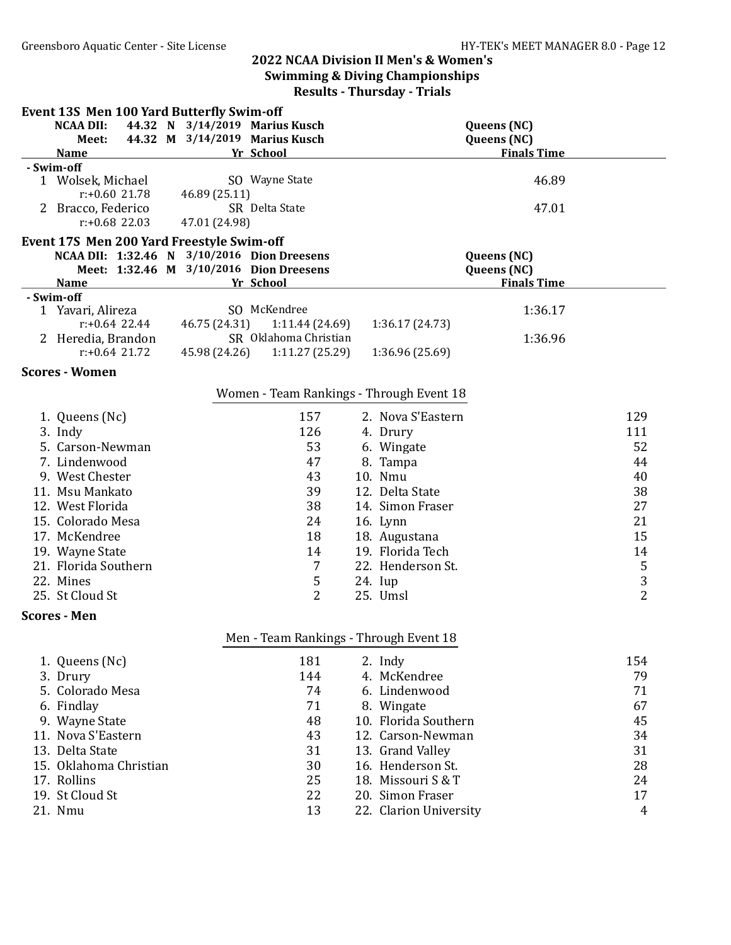| <b>Event 13S Men 100 Yard Butterfly Swim-off</b> |                                         |                 |                                          |                    |                |
|--------------------------------------------------|-----------------------------------------|-----------------|------------------------------------------|--------------------|----------------|
| 44.32 N<br><b>NCAA DII:</b>                      | 3/14/2019 Marius Kusch                  |                 |                                          | Queens (NC)        |                |
| Meet:                                            | 44.32 M 3/14/2019 Marius Kusch          |                 |                                          | Queens (NC)        |                |
| <b>Name</b>                                      | Yr School                               |                 |                                          | <b>Finals Time</b> |                |
| - Swim-off                                       |                                         |                 |                                          |                    |                |
| 1 Wolsek, Michael                                | SO Wayne State                          |                 |                                          | 46.89              |                |
| $r: +0.60$ 21.78                                 | 46.89 (25.11)<br>SR Delta State         |                 |                                          |                    |                |
| 2 Bracco, Federico<br>$r: +0.68$ 22.03           | 47.01 (24.98)                           |                 |                                          | 47.01              |                |
|                                                  |                                         |                 |                                          |                    |                |
| Event 17S Men 200 Yard Freestyle Swim-off        |                                         |                 |                                          |                    |                |
| NCAA DII: 1:32.46 N                              | 3/10/2016 Dion Dreesens                 |                 | Queens (NC)                              |                    |                |
|                                                  | Meet: 1:32.46 M 3/10/2016 Dion Dreesens |                 |                                          | Queens (NC)        |                |
| <b>Name</b><br>- Swim-off                        | Yr School                               |                 |                                          | <b>Finals Time</b> |                |
| 1 Yavari, Alireza                                | SO McKendree                            |                 |                                          | 1:36.17            |                |
| $r: +0.64$ 22.44                                 | 46.75 (24.31)                           | 1:11.44(24.69)  | 1:36.17 (24.73)                          |                    |                |
| 2 Heredia, Brandon                               | SR Oklahoma Christian                   |                 |                                          | 1:36.96            |                |
| $r: +0.64$ 21.72                                 | 45.98 (24.26)                           | 1:11.27 (25.29) | 1:36.96 (25.69)                          |                    |                |
| <b>Scores - Women</b>                            |                                         |                 |                                          |                    |                |
|                                                  |                                         |                 |                                          |                    |                |
|                                                  |                                         |                 | Women - Team Rankings - Through Event 18 |                    |                |
| 1. Queens (Nc)                                   |                                         | 157             | 2. Nova S'Eastern                        |                    | 129            |
| 3. Indy                                          |                                         | 126             | 4. Drury                                 |                    | 111            |
| 5. Carson-Newman                                 |                                         | 53              | 6. Wingate                               |                    | 52             |
| 7. Lindenwood                                    |                                         | 47              | 8. Tampa                                 |                    | 44             |
| 9. West Chester                                  |                                         | 43              | 10. Nmu                                  |                    | 40             |
| 11. Msu Mankato                                  |                                         | 39              | 12. Delta State                          |                    | 38             |
| 12. West Florida                                 |                                         | 38              | 14. Simon Fraser                         |                    | 27             |
| 15. Colorado Mesa                                |                                         | 24              | 16. Lynn                                 |                    | 21             |
| 17. McKendree                                    |                                         | 18              | 18. Augustana                            |                    | 15             |
| 19. Wayne State                                  |                                         | 14              | 19. Florida Tech                         |                    | 14             |
| 21. Florida Southern                             |                                         | $\overline{7}$  | 22. Henderson St.                        |                    | $\mathsf S$    |
| 22. Mines                                        |                                         | $\mathsf S$     | 24. Iup                                  |                    | $\overline{3}$ |
| 25. St Cloud St                                  |                                         | $\overline{2}$  | 25. Umsl                                 |                    | $\overline{2}$ |
|                                                  |                                         |                 |                                          |                    |                |
| <b>Scores - Men</b>                              |                                         |                 |                                          |                    |                |
|                                                  |                                         |                 | Men - Team Rankings - Through Event 18   |                    |                |
| 1. Queens (Nc)                                   |                                         | 181             | 2. Indy                                  |                    | 154            |
| 3. Drury                                         |                                         | 144             | 4. McKendree                             |                    | 79             |
| 5. Colorado Mesa                                 |                                         | 74              | 6. Lindenwood                            |                    | 71             |
| 6. Findlay                                       |                                         | 71              | 8. Wingate                               |                    | 67             |
| 9. Wayne State                                   |                                         | 48              | 10. Florida Southern                     |                    | 45             |
| 11. Nova S'Eastern                               |                                         | 43              | 12. Carson-Newman                        |                    | 34             |
| 13. Delta State                                  |                                         | 31              | 13. Grand Valley                         |                    | 31             |
| 15. Oklahoma Christian                           |                                         | 30              | 16. Henderson St.                        |                    | 28             |
| 17. Rollins                                      |                                         | 25              | 18. Missouri S & T                       |                    | 24             |
| 19. St Cloud St                                  |                                         | 22              | 20. Simon Fraser                         |                    | 17             |
| 21. Nmu                                          |                                         | 13              | 22. Clarion University                   |                    | 4              |
|                                                  |                                         |                 |                                          |                    |                |